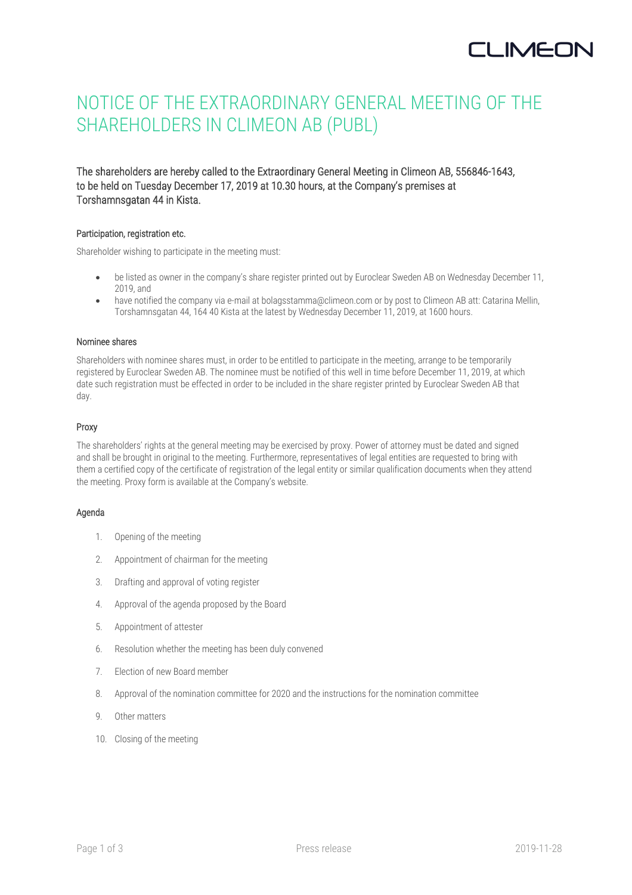# NOTICE OF THE EXTRAORDINARY GENERAL MEETING OF THE SHAREHOLDERS IN CLIMEON AB (PUBL)

The shareholders are hereby called to the Extraordinary General Meeting in Climeon AB, 556846-1643, to be held on Tuesday December 17, 2019 at 10.30 hours, at the Company's premises at Torshamnsgatan 44 in Kista.

## Participation, registration etc.

Shareholder wishing to participate in the meeting must:

- be listed as owner in the company's share register printed out by Euroclear Sweden AB on Wednesday December 11, 2019, and
- have notified the company via e-mail at bolagsstamma@climeon.com or by post to Climeon AB att: Catarina Mellin, Torshamnsgatan 44, 164 40 Kista at the latest by Wednesday December 11, 2019, at 1600 hours.

## Nominee shares

Shareholders with nominee shares must, in order to be entitled to participate in the meeting, arrange to be temporarily registered by Euroclear Sweden AB. The nominee must be notified of this well in time before December 11, 2019, at which date such registration must be effected in order to be included in the share register printed by Euroclear Sweden AB that day.

## Proxy

The shareholders' rights at the general meeting may be exercised by proxy. Power of attorney must be dated and signed and shall be brought in original to the meeting. Furthermore, representatives of legal entities are requested to bring with them a certified copy of the certificate of registration of the legal entity or similar qualification documents when they attend the meeting. Proxy form is available at the Company's website.

## Agenda

- 1. Opening of the meeting
- 2. Appointment of chairman for the meeting
- 3. Drafting and approval of voting register
- 4. Approval of the agenda proposed by the Board
- 5. Appointment of attester
- 6. Resolution whether the meeting has been duly convened
- 7. Election of new Board member
- 8. Approval of the nomination committee for 2020 and the instructions for the nomination committee
- 9. Other matters
- 10. Closing of the meeting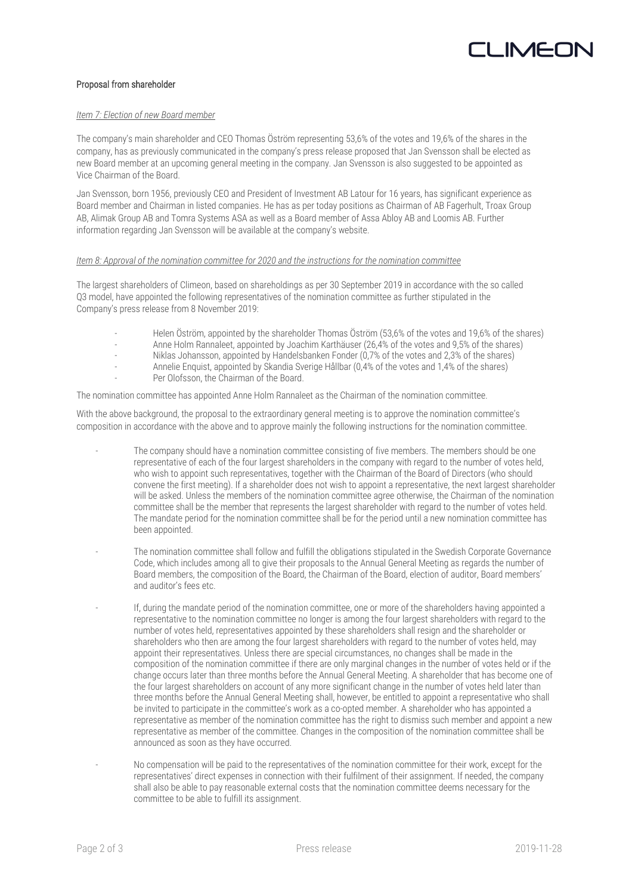# Proposal from shareholder

# *Item 7: Election of new Board member*

The company's main shareholder and CEO Thomas Öström representing 53,6% of the votes and 19,6% of the shares in the company, has as previously communicated in the company's press release proposed that Jan Svensson shall be elected as new Board member at an upcoming general meeting in the company. Jan Svensson is also suggested to be appointed as Vice Chairman of the Board.

Jan Svensson, born 1956, previously CEO and President of Investment AB Latour for 16 years, has significant experience as Board member and Chairman in listed companies. He has as per today positions as Chairman of AB Fagerhult, Troax Group AB, Alimak Group AB and Tomra Systems ASA as well as a Board member of Assa Abloy AB and Loomis AB. Further information regarding Jan Svensson will be available at the company's website.

## *Item 8: Approval of the nomination committee for 2020 and the instructions for the nomination committee*

The largest shareholders of Climeon, based on shareholdings as per 30 September 2019 in accordance with the so called Q3 model, have appointed the following representatives of the nomination committee as further stipulated in the Company's press release from 8 November 2019:

- Helen Öström, appointed by the shareholder Thomas Öström (53,6% of the votes and 19,6% of the shares)
- Anne Holm Rannaleet, appointed by Joachim Karthäuser (26,4% of the votes and 9,5% of the shares)
- Niklas Johansson, appointed by Handelsbanken Fonder (0,7% of the votes and 2,3% of the shares)
- Annelie Enquist, appointed by Skandia Sverige Hållbar (0,4% of the votes and 1,4% of the shares)
- Per Olofsson, the Chairman of the Board.

The nomination committee has appointed Anne Holm Rannaleet as the Chairman of the nomination committee.

With the above background, the proposal to the extraordinary general meeting is to approve the nomination committee's composition in accordance with the above and to approve mainly the following instructions for the nomination committee.

- The company should have a nomination committee consisting of five members. The members should be one representative of each of the four largest shareholders in the company with regard to the number of votes held, who wish to appoint such representatives, together with the Chairman of the Board of Directors (who should convene the first meeting). If a shareholder does not wish to appoint a representative, the next largest shareholder will be asked. Unless the members of the nomination committee agree otherwise, the Chairman of the nomination committee shall be the member that represents the largest shareholder with regard to the number of votes held. The mandate period for the nomination committee shall be for the period until a new nomination committee has been appointed.
- The nomination committee shall follow and fulfill the obligations stipulated in the Swedish Corporate Governance Code, which includes among all to give their proposals to the Annual General Meeting as regards the number of Board members, the composition of the Board, the Chairman of the Board, election of auditor, Board members' and auditor's fees etc.
- If, during the mandate period of the nomination committee, one or more of the shareholders having appointed a representative to the nomination committee no longer is among the four largest shareholders with regard to the number of votes held, representatives appointed by these shareholders shall resign and the shareholder or shareholders who then are among the four largest shareholders with regard to the number of votes held, may appoint their representatives. Unless there are special circumstances, no changes shall be made in the composition of the nomination committee if there are only marginal changes in the number of votes held or if the change occurs later than three months before the Annual General Meeting. A shareholder that has become one of the four largest shareholders on account of any more significant change in the number of votes held later than three months before the Annual General Meeting shall, however, be entitled to appoint a representative who shall be invited to participate in the committee's work as a co-opted member. A shareholder who has appointed a representative as member of the nomination committee has the right to dismiss such member and appoint a new representative as member of the committee. Changes in the composition of the nomination committee shall be announced as soon as they have occurred.
	- No compensation will be paid to the representatives of the nomination committee for their work, except for the representatives' direct expenses in connection with their fulfilment of their assignment. If needed, the company shall also be able to pay reasonable external costs that the nomination committee deems necessary for the committee to be able to fulfill its assignment.